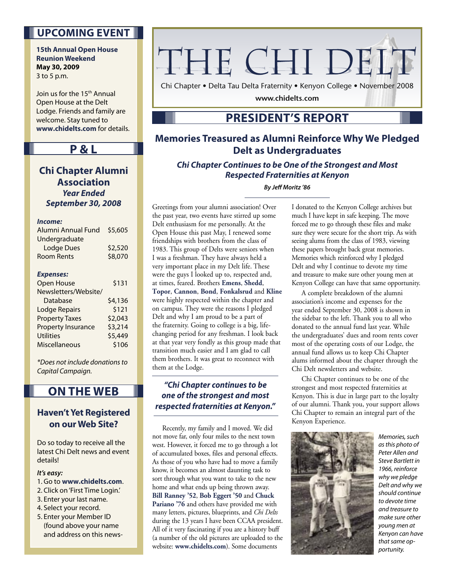### **UPCOMING EVENT**

**15th Annual Open House Reunion Weekend May 30, 2009** 3 to 5 p.m.

Join us for the 15<sup>th</sup> Annual Open House at the Delt Lodge. Friends and family are welcome. Stay tuned to **www.chidelts.com** for details.

#### **P & L**

**Chi Chapter Alumni Association Year Ended September 30, 2008**

#### **Income:**

| Alumni Annual Fund        | \$5,605 |
|---------------------------|---------|
| Undergraduate             |         |
| <b>Lodge Dues</b>         | \$2,520 |
| Room Rents                | \$8,070 |
|                           |         |
| <b>Expenses:</b>          |         |
| <b>Open House</b>         | \$131   |
| Newsletters/Website/      |         |
| Database                  | \$4,136 |
| Lodge Repairs             | \$121   |
| <b>Property Taxes</b>     | \$2,043 |
| <b>Property Insurance</b> | \$3,214 |
| <b>Utilities</b>          | \$5,449 |
| Miscellaneous             | \$106   |
|                           |         |

\*Does not include donations to Capital Campaign.

## **ON THE WEB**

#### **Haven't Yet Registered on our Web Site?**

Do so today to receive all the latest Chi Delt news and event details!

#### **It's easy:**

- 1. Go to **www.chidelts.com**.
- 2. Click on 'First Time Login.'
- 3. Enter your last name.
- 4. Select your record.
- 5. Enter your Member ID (found above your name and address on this news-

## THE CHI DELT

Chi Chapter • Delta Tau Delta Fraternity • Kenyon College • November 2008

**www.chidelts.com**

## **PRESIDENT'S REPORT**

### **Memories Treasured as Alumni Reinforce Why We Pledged Delt as Undergraduates**

**Chi Chapter Continues to be One of the Strongest and Most Respected Fraternities at Kenyon**

**By Jeff Moritz '86** 

Greetings from your alumni association! Over the past year, two events have stirred up some Delt enthusiasm for me personally. At the Open House this past May, I renewed some friendships with brothers from the class of 1983. This group of Delts were seniors when I was a freshman. They have always held a very important place in my Delt life. These were the guys I looked up to, respected and, at times, feared. Brothers **Emens**, **Shedd**, **Topor**, **Cannon**, **Bond**, **Fonkalsrud** and **Kline** were highly respected within the chapter and on campus. They were the reasons I pledged Delt and why I am proud to be a part of the fraternity. Going to college is a big, lifechanging period for any freshman. I look back at that year very fondly as this group made that transition much easier and I am glad to call them brothers. It was great to reconnect with them at the Lodge.

#### **"Chi Chapter continues to be one of the strongest and most respected fraternities at Kenyon."**

 Recently, my family and I moved. We did not move far, only four miles to the next town west. However, it forced me to go through a lot of accumulated boxes, files and personal effects. As those of you who have had to move a family know, it becomes an almost daunting task to sort through what you want to take to the new home and what ends up being thrown away. **Bill Ranney '52**, **Bob Eggert '50** and **Chuck**  Pariano '76 and others have provided me with many letters, pictures, blueprints, and *Chi Delts* during the 13 years I have been CCAA president. All of it very fascinating if you are a history buff (a number of the old pictures are uploaded to the website: **www.chidelts.com**). Some documents

I donated to the Kenyon College archives but much I have kept in safe keeping. The move forced me to go through these files and make sure they were secure for the short trip. As with seeing alums from the class of 1983, viewing these papers brought back great memories. Memories which reinforced why I pledged Delt and why I continue to devote my time and treasure to make sure other young men at Kenyon College can have that same opportunity.

 A complete breakdown of the alumni association's income and expenses for the year ended September 30, 2008 is shown in the sidebar to the left. Thank you to all who donated to the annual fund last year. While the undergraduates' dues and room rents cover most of the operating costs of our Lodge, the annual fund allows us to keep Chi Chapter alums informed about the chapter through the Chi Delt newsletters and website.

 Chi Chapter continues to be one of the strongest and most respected fraternities at Kenyon. This is due in large part to the loyalty of our alumni. Thank you, your support allows Chi Chapter to remain an integral part of the Kenyon Experience.



Memories, such as this photo of Peter Allen and Steve Bartlett in 1966, reinforce why we pledge Delt and why we should continue to devote time and treasure to make sure other young men at Kenyon can have that same opportunity.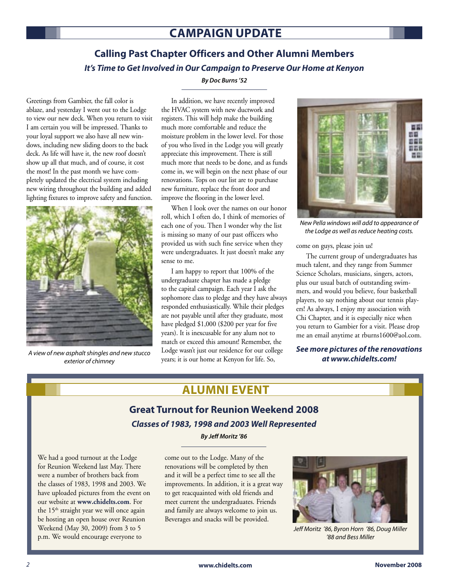## **CAMPAIGN UPDATE**

## **Calling Past Chapter Officers and Other Alumni Members It's Time to Get Involved in Our Campaign to Preserve Our Home at Kenyon**

Greetings from Gambier, the fall color is ablaze, and yesterday I went out to the Lodge to view our new deck. When you return to visit I am certain you will be impressed. Thanks to your loyal support we also have all new windows, including new sliding doors to the back deck. As life will have it, the new roof doesn't show up all that much, and of course, it cost the most! In the past month we have completely updated the electrical system including new wiring throughout the building and added lighting fixtures to improve safety and function.



exterior of chimney

#### **By Doc Burns '52**

 In addition, we have recently improved the HVAC system with new ductwork and registers. This will help make the building much more comfortable and reduce the moisture problem in the lower level. For those of you who lived in the Lodge you will greatly appreciate this improvement. There is still much more that needs to be done, and as funds come in, we will begin on the next phase of our renovations. Tops on our list are to purchase new furniture, replace the front door and improve the flooring in the lower level.

 When I look over the names on our honor roll, which I often do, I think of memories of each one of you. Then I wonder why the list is missing so many of our past officers who provided us with such fine service when they were undergraduates. It just doesn't make any sense to me.

 I am happy to report that 100% of the undergraduate chapter has made a pledge to the capital campaign. Each year I ask the sophomore class to pledge and they have always responded enthusiastically. While their pledges are not payable until after they graduate, most have pledged \$1,000 (\$200 per year for five years). It is inexcusable for any alum not to match or exceed this amount! Remember, the Lodge wasn't just our residence for our college A view of new asphalt shingles and new stucco<br>exterior of chimney years; it is our home at Kenyon for life. So, **at www.chidelts.com!** 



New Pella windows will add to appearance of the Lodge as well as reduce heating costs.

come on guys, please join us!

 The current group of undergraduates has much talent, and they range from Summer Science Scholars, musicians, singers, actors, plus our usual batch of outstanding swimmers, and would you believe, four basketball players, to say nothing about our tennis players! As always, I enjoy my association with Chi Chapter, and it is especially nice when you return to Gambier for a visit. Please drop me an email anytime at rburns1600@aol.com.

## **See more pictures of the renovations**

## **ALUMNI EVENT**

## **Great Turnout for Reunion Weekend 2008 Classes of 1983, 1998 and 2003 Well Represented**

**By Jeff Moritz '86**

We had a good turnout at the Lodge for Reunion Weekend last May. There were a number of brothers back from the classes of 1983, 1998 and 2003. We have uploaded pictures from the event on our website at **www.chidelts.com**. For the 15<sup>th</sup> straight year we will once again be hosting an open house over Reunion Weekend (May 30, 2009) from 3 to 5 p.m. We would encourage everyone to

come out to the Lodge. Many of the renovations will be completed by then and it will be a perfect time to see all the improvements. In addition, it is a great way to get reacquainted with old friends and meet current the undergraduates. Friends and family are always welcome to join us. Beverages and snacks will be provided.



Jeff Moritz '86, Byron Horn '86, Doug Miller '88 and Bess Miller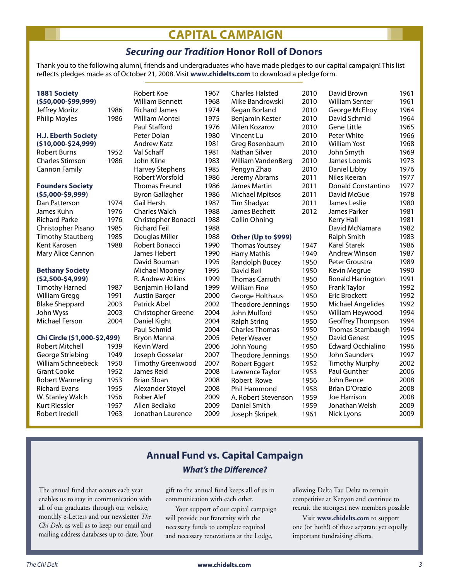## **CAPITAL CAMPAIGN**

### **Securing our Tradition Honor Roll of Donors**

Thank you to the following alumni, friends and undergraduates who have made pledges to our capital campaign! This list reflects pledges made as of October 21, 2008. Visit **www.chidelts.com** to download a pledge form.

| <b>1881 Society</b><br>(\$50,000-\$99,999) |      | Robert Koe<br><b>William Bennett</b> | 1967<br>1968 | <b>Charles Halsted</b><br>Mike Bandrowski | 2010<br>2010 | David Brown<br><b>William Senter</b> | 1961<br>1961 |
|--------------------------------------------|------|--------------------------------------|--------------|-------------------------------------------|--------------|--------------------------------------|--------------|
| Jeffrey Moritz                             | 1986 | <b>Richard James</b>                 | 1974         | Kegan Borland                             | 2010         | George McElroy                       | 1964         |
| <b>Philip Moyles</b>                       | 1986 | William Montei                       | 1975         | Benjamin Kester                           | 2010         | David Schmid                         | 1964         |
|                                            |      | Paul Stafford                        | 1976         | Milen Kozarov                             | 2010         | Gene Little                          | 1965         |
| <b>H.J. Eberth Society</b>                 |      | Peter Dolan                          | 1980         | Vincent Lu                                | 2010         | Peter White                          | 1966         |
| (\$10,000-\$24,999)                        |      | <b>Andrew Katz</b>                   | 1981         | Greg Rosenbaum                            | 2010         | <b>William Yost</b>                  | 1968         |
| <b>Robert Burns</b>                        | 1952 | Val Schaff                           | 1981         | Nathan Silver                             | 2010         | John Smyth                           | 1969         |
| <b>Charles Stimson</b>                     | 1986 | John Kline                           | 1983         | William VandenBerg                        | 2010         | James Loomis                         | 1973         |
| <b>Cannon Family</b>                       |      | <b>Harvey Stephens</b>               | 1985         | Pengyn Zhao                               | 2010         | Daniel Libby                         | 1976         |
|                                            |      | Robert Worsfold                      | 1986         | Jeremy Abrams                             | 2011         | Niles Keeran                         | 1977         |
| <b>Founders Society</b>                    |      | <b>Thomas Freund</b>                 | 1986         | James Martin                              | 2011         | <b>Donald Constantino</b>            | 1977         |
| $(55,000 - 59,999)$                        |      | <b>Byron Gallagher</b>               | 1986         | <b>Michael Mpitsos</b>                    | 2011         | David McGue                          | 1978         |
| Dan Patterson                              | 1974 | Gail Hersh                           | 1987         | Tim Shadyac                               | 2011         | James Leslie                         | 1980         |
| James Kuhn                                 | 1976 | <b>Charles Walch</b>                 | 1988         | James Bechett                             | 2012         | James Parker                         | 1981         |
| <b>Richard Parke</b>                       | 1976 | Christopher Bonacci                  | 1988         | Collin Ohning                             |              | Kerry Hall                           | 1981         |
| Christopher Pisano                         | 1985 | <b>Richard Feil</b>                  | 1988         |                                           |              | David McNamara                       | 1982         |
| <b>Timothy Stautberg</b>                   | 1985 | Douglas Miller                       | 1988         | Other (Up to \$999)                       |              | Ralph Smith                          | 1983         |
| Kent Karosen                               | 1988 | Robert Bonacci                       | 1990         | <b>Thomas Youtsey</b>                     | 1947         | <b>Karel Starek</b>                  | 1986         |
| Mary Alice Cannon                          |      | James Hebert                         | 1990         | <b>Harry Mathis</b>                       | 1949         | <b>Andrew Winson</b>                 | 1987         |
|                                            |      | David Bouman                         | 1995         | Randolph Bucey                            | 1950         | Peter Groustra                       | 1989         |
| <b>Bethany Society</b>                     |      | Michael Mooney                       | 1995         | David Bell                                | 1950         | Kevin Megrue                         | 1990         |
| $(52,500-54,999)$                          |      | R. Andrew Atkins                     | 1999         | <b>Thomas Carruth</b>                     | 1950         | Ronald Harrington                    | 1991         |
| <b>Timothy Harned</b>                      | 1987 | Benjamin Holland                     | 1999         | <b>William Fine</b>                       | 1950         | Frank Taylor                         | 1992         |
| <b>William Gregg</b>                       | 1991 | <b>Austin Barger</b>                 | 2000         | George Holthaus                           | 1950         | <b>Eric Brockett</b>                 | 1992         |
| <b>Blake Sheppard</b>                      | 2003 | Patrick Abel                         | 2002         | Theodore Jennings                         | 1950         | <b>Michael Angelides</b>             | 1992         |
| John Wyss                                  | 2003 | <b>Christopher Greene</b>            | 2004         | John Mulford                              | 1950         | William Heywood                      | 1994         |
| Michael Ferson                             | 2004 | Daniel Kight                         | 2004         | <b>Ralph String</b>                       | 1950         | Geoffrey Thompson                    | 1994         |
|                                            |      | Paul Schmid                          | 2004         | <b>Charles Thomas</b>                     | 1950         | <b>Thomas Stambaugh</b>              | 1994         |
| Chi Circle (\$1,000-\$2,499)               |      | Bryon Manna                          | 2005         | Peter Weaver                              | 1950         | David Genest                         | 1995         |
| Robert Mitchell                            | 1939 | Kevin Ward                           | 2006         | John Young                                | 1950         | <b>Edward Occhialino</b>             | 1996         |
| George Striebing                           | 1949 | Joseph Gosselar                      | 2007         | Theodore Jennings                         | 1950         | John Saunders                        | 1997         |
| <b>William Schneebeck</b>                  | 1950 | <b>Timothy Greenwood</b>             | 2007         | Robert Eggert                             | 1952         | <b>Timothy Murphy</b>                | 2002         |
| <b>Grant Cooke</b>                         | 1952 | James Reid                           | 2008         | Lawrence Taylor                           | 1953         | Paul Gunther                         | 2006         |
| <b>Robert Warmeling</b>                    | 1953 | <b>Brian Sloan</b>                   | 2008         | Robert Rowe                               | 1956         | John Bence                           | 2008         |
| <b>Richard Evans</b>                       | 1955 | Alexander Stoyel                     | 2008         | Phil Hammond                              | 1958         | Brian D'Orazio                       | 2008         |
| W. Stanley Walch                           | 1956 | Rober Alef                           | 2009         | A. Robert Stevenson                       | 1959         | Joe Harrison                         | 2008         |
| Kurt Riessler                              | 1957 | Allen Bediako                        | 2009         | Daniel Smith                              | 1959         | Jonathan Welsh                       | 2009         |
| Robert Iredell                             | 1963 | Jonathan Laurence                    | 2009         | Joseph Skripek                            | 1961         | Nick Lyons                           | 2009         |
|                                            |      |                                      |              |                                           |              |                                      |              |

### **Annual Fund vs. Capital Campaign What's the Difference?**

The annual fund that occurs each year enables us to stay in communication with all of our graduates through our website, monthly e-Letters and our newsletter *The Chi Delt*, as well as to keep our email and mailing address databases up to date. Your gift to the annual fund keeps all of us in communication with each other.

Your support of our capital campaign will provide our fraternity with the necessary funds to complete required and necessary renovations at the Lodge,

allowing Delta Tau Delta to remain competitive at Kenyon and continue to recruit the strongest new members possible

 Visit **www.chidelts.com** to support one (or both!) of these separate yet equally important fundraising efforts.